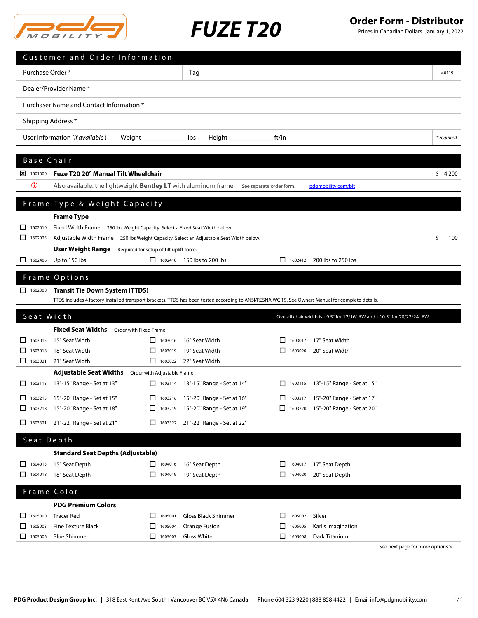

Prices in Canadian Dollars. January 1, 2022

|                              | Customer and Order Information                                                                                                                                        |                                          |                                          |                         |                                                                        |            |
|------------------------------|-----------------------------------------------------------------------------------------------------------------------------------------------------------------------|------------------------------------------|------------------------------------------|-------------------------|------------------------------------------------------------------------|------------|
| Purchase Order *             |                                                                                                                                                                       |                                          | Tag                                      |                         |                                                                        | v.0119     |
|                              | Dealer/Provider Name*                                                                                                                                                 |                                          |                                          |                         |                                                                        |            |
|                              | Purchaser Name and Contact Information *                                                                                                                              |                                          |                                          |                         |                                                                        |            |
| Shipping Address *           |                                                                                                                                                                       |                                          |                                          |                         |                                                                        |            |
|                              | User Information (if available)                                                                                                                                       | Weight ________________                  | lbs<br>$Height \_\_\_\_\_\_\_\_\_\_\_\_$ | ft/in                   |                                                                        | * required |
|                              |                                                                                                                                                                       |                                          |                                          |                         |                                                                        |            |
| Base Chair                   |                                                                                                                                                                       |                                          |                                          |                         |                                                                        |            |
| $\frac{1}{2}$ 1601000        | Fuze T20 20° Manual Tilt Wheelchair                                                                                                                                   |                                          |                                          |                         |                                                                        | \$4,200    |
| $\mathbf 0$                  | Also available: the lightweight <b>Bentley LT</b> with aluminum frame. See separate order form.                                                                       |                                          |                                          |                         | pdgmobility.com/blt                                                    |            |
|                              |                                                                                                                                                                       |                                          |                                          |                         |                                                                        |            |
|                              | Frame Type & Weight Capacity                                                                                                                                          |                                          |                                          |                         |                                                                        |            |
|                              | <b>Frame Type</b>                                                                                                                                                     |                                          |                                          |                         |                                                                        |            |
| 1602010<br>ப<br>◻<br>1602025 | Fixed Width Frame 250 lbs Weight Capacity. Select a Fixed Seat Width below.<br>Adjustable Width Frame 250 lbs Weight Capacity. Select an Adjustable Seat Width below. |                                          |                                          |                         |                                                                        | \$<br>100  |
|                              | User Weight Range                                                                                                                                                     | Required for setup of tilt uplift force. |                                          |                         |                                                                        |            |
|                              | Up to 150 lbs                                                                                                                                                         |                                          | $\Box$ 1602410 150 lbs to 200 lbs        |                         | $\Box$ 1602412 200 lbs to 250 lbs                                      |            |
|                              | Frame Options                                                                                                                                                         |                                          |                                          |                         |                                                                        |            |
| $\Box$ 1602300               | <b>Transit Tie Down System (TTDS)</b>                                                                                                                                 |                                          |                                          |                         |                                                                        |            |
|                              | TTDS includes 4 factory-installed transport brackets. TTDS has been tested according to ANSI/RESNA WC 19. See Owners Manual for complete details.                     |                                          |                                          |                         |                                                                        |            |
| Seat Width                   |                                                                                                                                                                       |                                          |                                          |                         |                                                                        |            |
|                              |                                                                                                                                                                       |                                          |                                          |                         | Overall chair width is +9.5" for 12/16" RW and +10.5" for 20/22/24" RW |            |
|                              | Fixed Seat Widths Order with Fixed Frame.                                                                                                                             |                                          |                                          |                         |                                                                        |            |
| 1603015<br>ப<br>1603018      | 15" Seat Width<br>18" Seat Width                                                                                                                                      | $\Box$<br>1603016<br>□<br>1603019        | 16" Seat Width<br>19" Seat Width         | 1603017<br>П<br>1603020 | 17" Seat Width<br>20" Seat Width                                       |            |
| ⊔<br>1603021                 | 21" Seat Width                                                                                                                                                        | $\Box$ 1603022                           | 22" Seat Width                           |                         |                                                                        |            |
|                              | Adjustable Seat Widths Order with Adjustable Frame.                                                                                                                   |                                          |                                          |                         |                                                                        |            |
|                              | □ 1603113 13"-15" Range - Set at 13"                                                                                                                                  |                                          | □ 1603114 13"-15" Range - Set at 14"     |                         | 1603115 13"-15" Range - Set at 15"                                     |            |
| 1603215                      | 15"-20" Range - Set at 15"                                                                                                                                            | 1603216                                  | 15"-20" Range - Set at 16"               |                         | 1603217 15"-20" Range - Set at 17"                                     |            |
| ш<br>1603218                 | 15"-20" Range - Set at 18"                                                                                                                                            | ΙI<br>1603219                            | 15"-20" Range - Set at 19"               | $\Box$<br>1603220       | 15"-20" Range - Set at 20"                                             |            |
| ப<br>1603321                 | 21"-22" Range - Set at 21"                                                                                                                                            | ⊔<br>1603322                             | 21"-22" Range - Set at 22"               |                         |                                                                        |            |
| Seat Depth                   |                                                                                                                                                                       |                                          |                                          |                         |                                                                        |            |
|                              | <b>Standard Seat Depths (Adjustable)</b>                                                                                                                              |                                          |                                          |                         |                                                                        |            |
| 1604015<br>ப                 | 15" Seat Depth                                                                                                                                                        | 1604016<br>$\Box$                        | 16" Seat Depth                           | 1604017<br>ΙI           | 17" Seat Depth                                                         |            |
| ⊔<br>1604018                 | 18" Seat Depth                                                                                                                                                        | □<br>1604019                             | 19" Seat Depth                           | $\Box$ 1604020          | 20" Seat Depth                                                         |            |
|                              |                                                                                                                                                                       |                                          |                                          |                         |                                                                        |            |
|                              | Frame Color<br><b>PDG Premium Colors</b>                                                                                                                              |                                          |                                          |                         |                                                                        |            |
| 1605000<br>ப                 | <b>Tracer Red</b>                                                                                                                                                     | ΙI<br>1605001                            | Gloss Black Shimmer                      | 1605002<br>ΙI           | Silver                                                                 |            |
| 1605003<br>⊔                 | <b>Fine Texture Black</b>                                                                                                                                             | 1605004<br>ப                             | Orange Fusion                            | ப<br>1605005            | Karl's Imagination                                                     |            |
| □<br>1605006                 | <b>Blue Shimmer</b>                                                                                                                                                   | $\Box$ 1605007                           | <b>Gloss White</b>                       | $\Box$ 1605008          | Dark Titanium                                                          |            |
|                              |                                                                                                                                                                       |                                          |                                          |                         |                                                                        |            |

See next page for more options >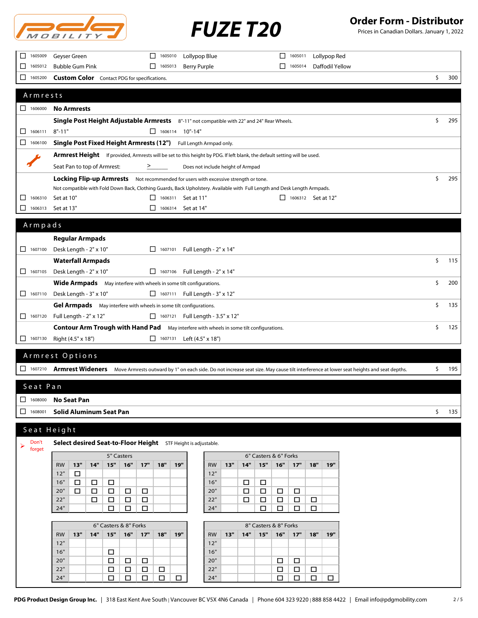

Prices in Canadian Dollars. January 1, 2022

| 1605009<br>$\Box$                                                         | Geyser Green<br>$\Box$<br>1605010<br>Lollypop Blue                                                                        | 1605011<br>Lollypop Red<br>ΙI                                                                                                                            |    |     |
|---------------------------------------------------------------------------|---------------------------------------------------------------------------------------------------------------------------|----------------------------------------------------------------------------------------------------------------------------------------------------------|----|-----|
| 1605012<br>$\Box$                                                         | <b>Bubble Gum Pink</b><br>$\Box$ 1605013<br>Berry Purple                                                                  | Daffodil Yellow<br>1605014<br>П                                                                                                                          |    |     |
| $\Box$<br>1605200                                                         | <b>Custom Color</b> Contact PDG for specifications.                                                                       |                                                                                                                                                          | \$ | 300 |
|                                                                           |                                                                                                                           |                                                                                                                                                          |    |     |
| Armrests                                                                  |                                                                                                                           |                                                                                                                                                          |    |     |
| 1606000                                                                   | <b>No Armrests</b>                                                                                                        |                                                                                                                                                          |    |     |
|                                                                           |                                                                                                                           |                                                                                                                                                          |    |     |
|                                                                           | Single Post Height Adjustable Armrests 8"-11" not compatible with 22" and 24" Rear Wheels.                                |                                                                                                                                                          | Ś. | 295 |
| 1606111<br>□                                                              | $8" - 11"$<br>$\Box$ 1606114 10"-14"                                                                                      |                                                                                                                                                          |    |     |
| ◻<br>1606100                                                              | Single Post Fixed Height Armrests (12") Full Length Armpad only.                                                          |                                                                                                                                                          |    |     |
|                                                                           | Armrest Height If provided, Armrests will be set to this height by PDG. If left blank, the default setting will be used.  |                                                                                                                                                          |    |     |
|                                                                           | Seat Pan to top of Armrest:<br>Does not include height of Armpad<br>>                                                     |                                                                                                                                                          |    |     |
|                                                                           | <b>Locking Flip-up Armrests</b> Not recommended for users with excessive strength or tone.                                |                                                                                                                                                          | \$ | 295 |
|                                                                           | Not compatible with Fold Down Back, Clothing Guards, Back Upholstery. Available with Full Length and Desk Length Armpads. |                                                                                                                                                          |    |     |
| 1606310<br>□                                                              | Set at 10"<br>$\Box$ 1606311 Set at 11"                                                                                   | $\Box$ 1606312 Set at 12"                                                                                                                                |    |     |
| □<br>1606313                                                              | $\Box$ 1606314 Set at 14"<br>Set at 13"                                                                                   |                                                                                                                                                          |    |     |
|                                                                           |                                                                                                                           |                                                                                                                                                          |    |     |
| Armpads                                                                   |                                                                                                                           |                                                                                                                                                          |    |     |
|                                                                           | <b>Regular Armpads</b>                                                                                                    |                                                                                                                                                          |    |     |
| $\Box$ 1607100                                                            | Desk Length - 2" x 10"<br>1607101<br>Full Length - 2" x 14"                                                               |                                                                                                                                                          |    |     |
|                                                                           | <b>Waterfall Armpads</b>                                                                                                  |                                                                                                                                                          | \$ | 115 |
| 1607105                                                                   | Desk Length - 2" x 10"<br>□ 1607106 Full Length - 2" x 14"                                                                |                                                                                                                                                          |    |     |
|                                                                           | Wide Armpads May interfere with wheels in some tilt configurations.                                                       |                                                                                                                                                          | \$ | 200 |
| $\Box$ 1607110                                                            | Desk Length - 3" x 10"<br>□ 1607111 Full Length - 3" x 12"                                                                |                                                                                                                                                          |    |     |
|                                                                           | Gel Armpads May interfere with wheels in some tilt configurations.                                                        |                                                                                                                                                          | \$ | 135 |
| $\begin{array}{ c c c c c } \hline \quad 1607120 \end{array}$             | Full Length - 2" x 12"<br>□ 1607121 Full Length - 3.5" x 12"                                                              |                                                                                                                                                          |    |     |
|                                                                           | <b>Contour Arm Trough with Hand Pad</b> May interfere with wheels in some tilt configurations.                            |                                                                                                                                                          | \$ | 125 |
| $\Box$ 1607130                                                            | Right (4.5" x 18")<br>Left (4.5" x 18")<br>$\Box$ 1607131                                                                 |                                                                                                                                                          |    |     |
|                                                                           |                                                                                                                           |                                                                                                                                                          |    |     |
|                                                                           | Armrest Options                                                                                                           |                                                                                                                                                          |    |     |
| 1607210                                                                   |                                                                                                                           | Armrest Wideners Move Armrests outward by 1" on each side. Do not increase seat size. May cause tilt interference at lower seat heights and seat depths. | \$ | 195 |
|                                                                           |                                                                                                                           |                                                                                                                                                          |    |     |
| Seat Pan                                                                  |                                                                                                                           |                                                                                                                                                          |    |     |
| $\begin{array}{ c c c c c } \hline \quad & 1608000 \\ \hline \end{array}$ | <b>No Seat Pan</b>                                                                                                        |                                                                                                                                                          |    |     |
| $\Box$ 1608001                                                            | <b>Solid Aluminum Seat Pan</b>                                                                                            |                                                                                                                                                          | \$ | 135 |
|                                                                           |                                                                                                                           |                                                                                                                                                          |    |     |
|                                                                           | Seat Height                                                                                                               |                                                                                                                                                          |    |     |
| Don't<br>➤                                                                | Select desired Seat-to-Floor Height STF Height is adjustable.                                                             |                                                                                                                                                          |    |     |
| forget                                                                    | 5" Casters                                                                                                                | 6" Casters & 6" Forks                                                                                                                                    |    |     |
|                                                                           | 15"<br>13"<br>14"<br>16"<br>17"<br>18"<br>19"<br><b>RW</b><br><b>RW</b>                                                   | 15"<br>13"<br>14"<br>16"<br>17"<br>18"<br>19"                                                                                                            |    |     |
|                                                                           | 12"<br>12"<br>$\Box$                                                                                                      |                                                                                                                                                          |    |     |
|                                                                           | 16"<br>16"<br>$\Box$<br>$\Box$<br>$\Box$                                                                                  | $\Box$<br>$\Box$                                                                                                                                         |    |     |
|                                                                           | 20"<br>20"<br>□<br>$\Box$<br>$\Box$<br>$\Box$<br>□                                                                        | $\Box$<br>□<br>$\Box$<br>□                                                                                                                               |    |     |
|                                                                           | 22"<br>$\Box$<br>$\Box$<br>22"<br>$\Box$<br>$\Box$<br>24"<br>24"<br>$\Box$<br>□<br>0                                      | $\Box$<br>$\Box$<br>$\Box$<br>$\Box$<br>$\Box$<br>$\Box$<br>□<br>$\Box$<br>$\Box$                                                                        |    |     |
|                                                                           |                                                                                                                           |                                                                                                                                                          |    |     |
|                                                                           | 6" Casters & 8" Forks                                                                                                     | 8" Casters & 8" Forks                                                                                                                                    |    |     |
|                                                                           | 15"<br>16"<br>13"<br>14"<br>17"<br>18"<br>19"<br><b>RW</b><br><b>RW</b>                                                   | 15"<br>16"<br>13"<br>14"<br>17"<br>18"<br>19"                                                                                                            |    |     |
|                                                                           | 12"<br>12"<br>16"<br>16"                                                                                                  |                                                                                                                                                          |    |     |
|                                                                           | 0<br>20"<br>20"<br>$\Box$<br>$\Box$<br>$\Box$                                                                             | $\Box$<br>$\Box$                                                                                                                                         |    |     |
|                                                                           | 22"<br>22"<br>$\Box$<br>$\Box$<br>$\Box$<br>□                                                                             | $\Box$<br>$\Box$<br>□                                                                                                                                    |    |     |
|                                                                           | 24"<br>$\Box$<br>$\Box$<br>24"<br>$\Box$<br>$\Box$<br>$\Box$                                                              | $\Box$<br>$\Box$<br>$\Box$<br>$\Box$                                                                                                                     |    |     |
|                                                                           |                                                                                                                           |                                                                                                                                                          |    |     |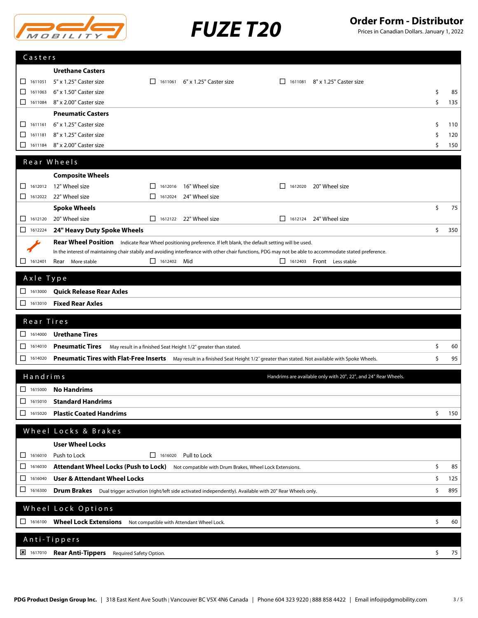



Prices in Canadian Dollars. January 1, 2022

| Casters                                                         |                                                                                                                                                          |                    |                                                                |         |                                                                 |           |
|-----------------------------------------------------------------|----------------------------------------------------------------------------------------------------------------------------------------------------------|--------------------|----------------------------------------------------------------|---------|-----------------------------------------------------------------|-----------|
|                                                                 | <b>Urethane Casters</b>                                                                                                                                  |                    |                                                                |         |                                                                 |           |
| 1611051<br>◻                                                    | 5" x 1.25" Caster size                                                                                                                                   | П.                 | 1611061 6" x 1.25" Caster size                                 | П       | 1611081 8" x 1.25" Caster size                                  |           |
| □<br>1611063                                                    | 6" x 1.50" Caster size                                                                                                                                   |                    |                                                                |         |                                                                 | \$<br>85  |
| □<br>1611084                                                    | 8" x 2.00" Caster size                                                                                                                                   |                    |                                                                |         |                                                                 | \$<br>135 |
|                                                                 | <b>Pneumatic Casters</b>                                                                                                                                 |                    |                                                                |         |                                                                 |           |
| 1611161<br>⊔                                                    | 6" x 1.25" Caster size                                                                                                                                   |                    |                                                                |         |                                                                 | \$<br>110 |
| □<br>1611181                                                    | 8" x 1.25" Caster size                                                                                                                                   |                    |                                                                |         |                                                                 | \$<br>120 |
| □<br>1611184                                                    | 8" x 2.00" Caster size                                                                                                                                   |                    |                                                                |         |                                                                 | \$<br>150 |
|                                                                 | Rear Wheels                                                                                                                                              |                    |                                                                |         |                                                                 |           |
|                                                                 | <b>Composite Wheels</b>                                                                                                                                  |                    |                                                                |         |                                                                 |           |
| 1612012<br>ப                                                    | 12" Wheel size                                                                                                                                           | 1612016            | 16" Wheel size                                                 | 1612020 | 20" Wheel size                                                  |           |
| $\Box$ 1612022                                                  | 22" Wheel size                                                                                                                                           | 1612024            | 24" Wheel size                                                 |         |                                                                 |           |
|                                                                 | <b>Spoke Wheels</b>                                                                                                                                      |                    |                                                                |         |                                                                 | \$<br>75  |
| 1612120<br>□                                                    | 20" Wheel size                                                                                                                                           |                    | $\Box$ 1612122 22" Wheel size                                  | 1612124 | 24" Wheel size                                                  |           |
| 1612224                                                         | 24" Heavy Duty Spoke Wheels                                                                                                                              |                    |                                                                |         |                                                                 | \$<br>350 |
|                                                                 | Rear Wheel Position Indicate Rear Wheel positioning preference. If left blank, the default setting will be used.                                         |                    |                                                                |         |                                                                 |           |
|                                                                 | In the interest of maintaining chair stabily and avoiding interferance with other chair functions, PDG may not be able to accommodate stated preference. |                    |                                                                |         |                                                                 |           |
| 1612401<br>$\Box$                                               | Rear More stable                                                                                                                                         | $\Box$ 1612402 Mid |                                                                |         | 1612403 Front Less stable                                       |           |
| Axle Type                                                       |                                                                                                                                                          |                    |                                                                |         |                                                                 |           |
| $\begin{array}{ c c c c c } \hline \quad 1613000 \end{array}$   | <b>Quick Release Rear Axles</b>                                                                                                                          |                    |                                                                |         |                                                                 |           |
|                                                                 | <b>Fixed Rear Axles</b>                                                                                                                                  |                    |                                                                |         |                                                                 |           |
| ◻<br>1613010                                                    |                                                                                                                                                          |                    |                                                                |         |                                                                 |           |
|                                                                 |                                                                                                                                                          |                    |                                                                |         |                                                                 |           |
| Rear Tires                                                      |                                                                                                                                                          |                    |                                                                |         |                                                                 |           |
| 1614000                                                         | <b>Urethane Tires</b>                                                                                                                                    |                    |                                                                |         |                                                                 |           |
| ◻<br>1614010                                                    | <b>Pneumatic Tires</b>                                                                                                                                   |                    | May result in a finished Seat Height 1/2" greater than stated. |         |                                                                 | \$<br>60  |
| □<br>1614020                                                    | Pneumatic Tires with Flat-Free Inserts May result in a finished Seat Height 1/2" greater than stated. Not available with Spoke Wheels.                   |                    |                                                                |         |                                                                 | \$<br>95  |
|                                                                 |                                                                                                                                                          |                    |                                                                |         |                                                                 |           |
| Handrims                                                        |                                                                                                                                                          |                    |                                                                |         | Handrims are available only with 20", 22", and 24" Rear Wheels. |           |
| $\begin{array}{ c c c c c } \hline \quad & 1615000 \end{array}$ | <b>No Handrims</b>                                                                                                                                       |                    |                                                                |         |                                                                 |           |
| $\Box$ 1615010                                                  | <b>Standard Handrims</b>                                                                                                                                 |                    |                                                                |         |                                                                 |           |
| 1615020                                                         | <b>Plastic Coated Handrims</b>                                                                                                                           |                    |                                                                |         |                                                                 | \$<br>150 |
|                                                                 | Wheel Locks & Brakes                                                                                                                                     |                    |                                                                |         |                                                                 |           |
|                                                                 |                                                                                                                                                          |                    |                                                                |         |                                                                 |           |
| 1616010<br>ப                                                    | <b>User Wheel Locks</b><br>Push to Lock                                                                                                                  |                    | $\Box$ 1616020 Pull to Lock                                    |         |                                                                 |           |
| 1616030<br>ப                                                    |                                                                                                                                                          |                    |                                                                |         |                                                                 | \$<br>85  |
| 1616040                                                         | Attendant Wheel Locks (Push to Lock) Not compatible with Drum Brakes, Wheel Lock Extensions.                                                             |                    |                                                                |         |                                                                 |           |
| ◻<br>ப<br>1616300                                               | <b>User &amp; Attendant Wheel Locks</b>                                                                                                                  |                    |                                                                |         |                                                                 | \$<br>125 |
|                                                                 | Drum Brakes Dual trigger activation (right/left side activated independently). Available with 20" Rear Wheels only.                                      |                    |                                                                |         |                                                                 | \$<br>895 |
|                                                                 | Wheel Lock Options                                                                                                                                       |                    |                                                                |         |                                                                 |           |
| $\Box$ 1616100                                                  | <b>Wheel Lock Extensions</b>                                                                                                                             |                    | Not compatible with Attendant Wheel Lock.                      |         |                                                                 | \$<br>60  |
|                                                                 |                                                                                                                                                          |                    |                                                                |         |                                                                 |           |
| $\frac{1}{2}$ 1617010                                           | Anti-Tippers<br>Rear Anti-Tippers Required Safety Option.                                                                                                |                    |                                                                |         |                                                                 | \$<br>75  |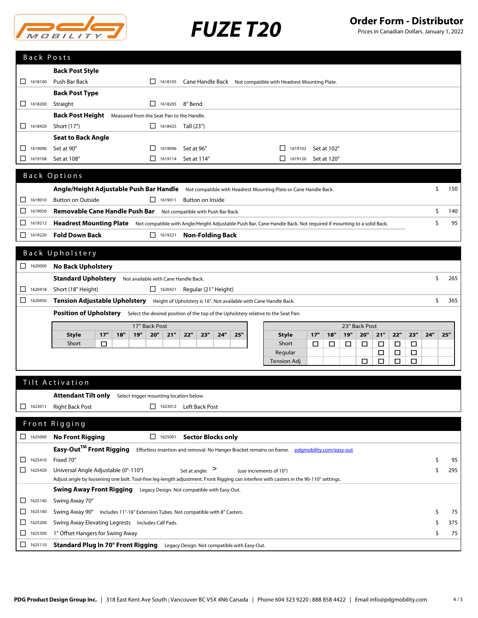

Prices in Canadian Dollars. January 1, 2022

| Back Posts              |                                                                                                                                                     |           |
|-------------------------|-----------------------------------------------------------------------------------------------------------------------------------------------------|-----------|
|                         | <b>Back Post Style</b>                                                                                                                              |           |
| 1618100<br>□            | Push Bar Back<br>Cane Handle Back Not compatible with Headrest Mounting Plate.<br>$\Box$ 1618105                                                    |           |
|                         | <b>Back Post Type</b>                                                                                                                               |           |
| 1618200<br>ப            | Straight<br>$\Box$ 1618205 8° Bend                                                                                                                  |           |
|                         | <b>Back Post Height</b> Measured from the Seat Pan to the Handle.                                                                                   |           |
| □<br>1618420            | Short (17")<br>$\Box$ 1618425 Tall (23")                                                                                                            |           |
|                         | <b>Seat to Back Angle</b>                                                                                                                           |           |
| 1619090<br>⊔            | Set at 90°<br>П.<br>1619096<br>Set at 96°<br>1619102<br>Set at 102°                                                                                 |           |
| ப<br>1619108            | $\Box$ 1619114<br>Set at 108°<br>Set at 114°<br>$\mathsf{L}$<br>1619120<br>Set at 120°                                                              |           |
|                         |                                                                                                                                                     |           |
|                         | Back Options                                                                                                                                        |           |
|                         | Angle/Height Adjustable Push Bar Handle Not compatible with Headrest Mounting Plate or Cane Handle Back.                                            | \$<br>150 |
| 1619010<br>ப            | $\Box$ 1619011<br><b>Button on Outside</b><br><b>Button on Inside</b>                                                                               |           |
| 1619050<br>ப            | Removable Cane Handle Push Bar Not compatible with Push Bar Back.                                                                                   | \$<br>140 |
| □<br>1619212            | Headrest Mounting Plate Not compatible with Angle/Height Adjustable Push Bar, Cane Handle Back. Not required if mounting to a solid Back.           | \$<br>95  |
| 1619220<br>⊔            | <b>Fold Down Back</b><br>$\Box$ 1619221<br><b>Non-Folding Back</b>                                                                                  |           |
|                         |                                                                                                                                                     |           |
|                         | Back Upholstery                                                                                                                                     |           |
| $\Box$ 1620000          | <b>No Back Upholstery</b>                                                                                                                           |           |
|                         | <b>Standard Upholstery</b><br>Not available with Cane Handle Back.                                                                                  | \$<br>265 |
| □<br>1620418            | Short (18" Height)<br>1620421<br>Regular (21" Height)                                                                                               |           |
| □<br>1620450            | Tension Adjustable Upholstery Height of Upholstery is 16". Not available with Cane Handle Back.                                                     | Ŝ.<br>365 |
|                         | Position of Upholstery Select the desired position of the top of the Upholstery relative to the Seat Pan.                                           |           |
|                         | 17" Back Post<br>23" Back Post                                                                                                                      |           |
|                         | 17"<br>18"<br>20"<br>22"<br>23"<br>24"<br>25"<br>17"<br>18"<br>19"<br>20"<br>21"<br>22"<br>23"<br>24"<br><b>Style</b><br>19"<br>21"<br><b>Style</b> | 25"       |
|                         | Short<br>Short<br>□<br>□<br>□<br>□<br>□<br>□<br>□<br>□<br>Regular<br>$\Box$<br>□<br>□                                                               |           |
|                         | □<br>Tension Adj<br>□<br>□<br>□                                                                                                                     |           |
|                         |                                                                                                                                                     |           |
|                         | Tilt Activation                                                                                                                                     |           |
|                         | Attendant Tilt only<br>Select trigger mounting location below.                                                                                      |           |
| ப<br>1623011            | <b>Right Back Post</b><br>1623012 Left Back Post                                                                                                    |           |
|                         |                                                                                                                                                     |           |
|                         | Front Rigging                                                                                                                                       |           |
| $\Box$ 1625000          | $\Box$ 1625001<br><b>Sector Blocks only</b><br><b>No Front Rigging</b>                                                                              |           |
|                         | Easy-Out™ Front Rigging<br>Effortless insertion and removal. No Hanger Bracket remains on frame. pdgmobility.com/easy-out                           |           |
| 1625410<br>ப            | Fixed 70°                                                                                                                                           | \$<br>95  |
| 1625420<br>ப            | Universal Angle Adjustable (0°-110°)<br>Set at angle: $>$<br>(use increments of 10°)                                                                | 295<br>\$ |
|                         | Adjust angle by loosening one bolt. Tool-free leg-length adjustment. Front Rigging can interfere with casters in the 90-110° settings.              |           |
|                         | <b>Swing Away Front Rigging</b> Legacy Design. Not compatible with Easy-Out.                                                                        |           |
| ⊔<br>1625140            | Swing Away 70°                                                                                                                                      |           |
| ப<br>1625160            | Swing Away 90° Includes 11"-16" Extension Tubes. Not compatible with 8" Casters.                                                                    | \$<br>75  |
| 1625200<br>⊔            | Swing Away Elevating Legrests Includes Calf Pads.                                                                                                   | 375<br>S  |
| 1625300<br>$\mathsf{L}$ | 1" Offset Hangers for Swing Away                                                                                                                    | \$<br>75  |
| ⊔<br>1625110            | <b>Standard Plug In 70° Front Rigging</b><br>Legacy Design. Not compatible with Easy-Out.                                                           |           |